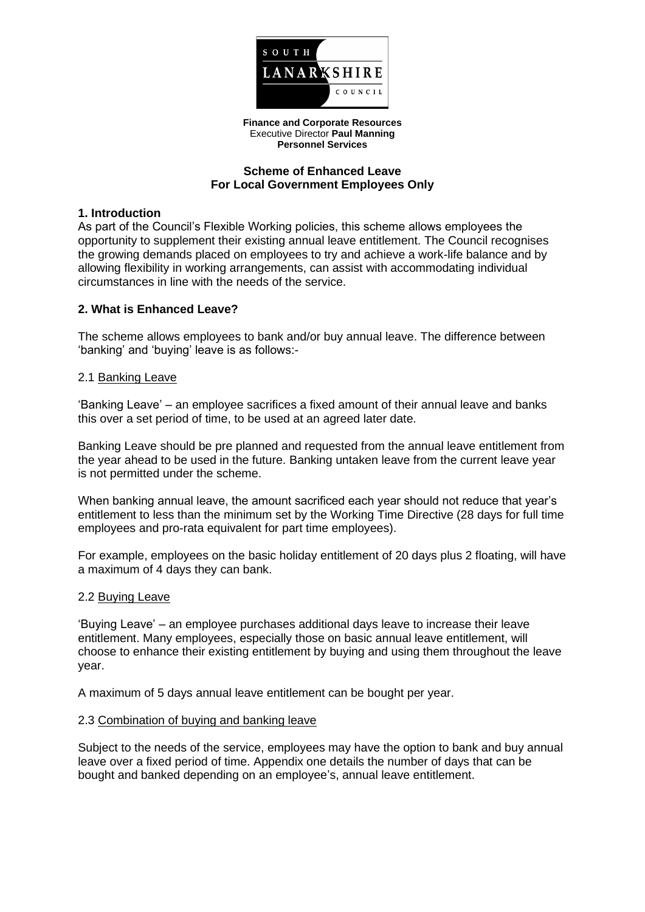

**Finance and Corporate Resources** Executive Director **Paul Manning Personnel Services**

### **Scheme of Enhanced Leave For Local Government Employees Only**

### **1. Introduction**

As part of the Council's Flexible Working policies, this scheme allows employees the opportunity to supplement their existing annual leave entitlement. The Council recognises the growing demands placed on employees to try and achieve a work-life balance and by allowing flexibility in working arrangements, can assist with accommodating individual circumstances in line with the needs of the service.

# **2. What is Enhanced Leave?**

The scheme allows employees to bank and/or buy annual leave. The difference between 'banking' and 'buying' leave is as follows:-

### 2.1 Banking Leave

'Banking Leave' – an employee sacrifices a fixed amount of their annual leave and banks this over a set period of time, to be used at an agreed later date.

Banking Leave should be pre planned and requested from the annual leave entitlement from the year ahead to be used in the future. Banking untaken leave from the current leave year is not permitted under the scheme.

When banking annual leave, the amount sacrificed each year should not reduce that year's entitlement to less than the minimum set by the Working Time Directive (28 days for full time employees and pro-rata equivalent for part time employees).

For example, employees on the basic holiday entitlement of 20 days plus 2 floating, will have a maximum of 4 days they can bank.

### 2.2 Buying Leave

'Buying Leave' – an employee purchases additional days leave to increase their leave entitlement. Many employees, especially those on basic annual leave entitlement, will choose to enhance their existing entitlement by buying and using them throughout the leave year.

A maximum of 5 days annual leave entitlement can be bought per year.

### 2.3 Combination of buying and banking leave

Subject to the needs of the service, employees may have the option to bank and buy annual leave over a fixed period of time. Appendix one details the number of days that can be bought and banked depending on an employee's, annual leave entitlement.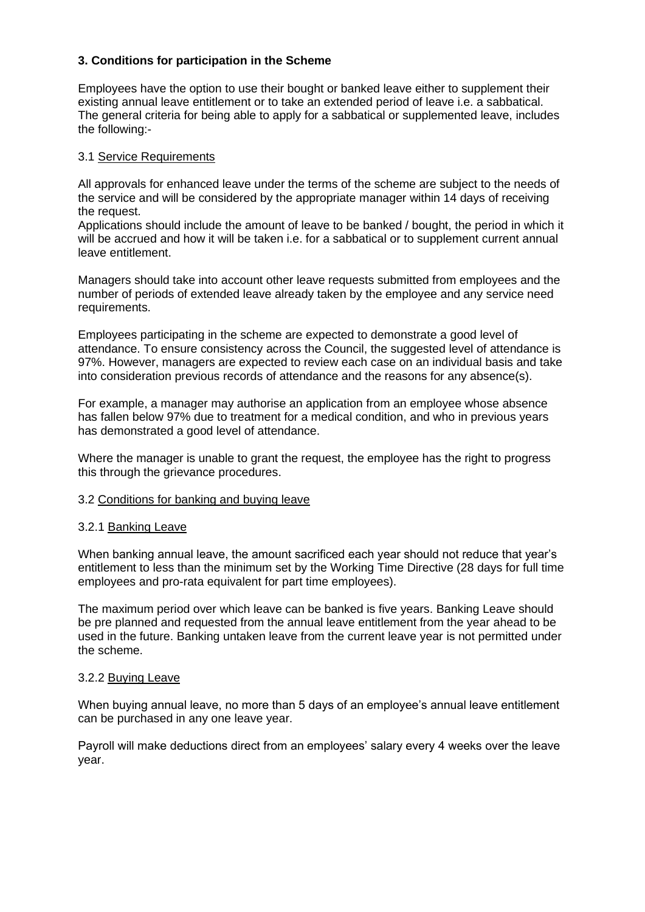# **3. Conditions for participation in the Scheme**

Employees have the option to use their bought or banked leave either to supplement their existing annual leave entitlement or to take an extended period of leave i.e. a sabbatical. The general criteria for being able to apply for a sabbatical or supplemented leave, includes the following:-

### 3.1 Service Requirements

All approvals for enhanced leave under the terms of the scheme are subject to the needs of the service and will be considered by the appropriate manager within 14 days of receiving the request.

Applications should include the amount of leave to be banked / bought, the period in which it will be accrued and how it will be taken i.e. for a sabbatical or to supplement current annual leave entitlement.

Managers should take into account other leave requests submitted from employees and the number of periods of extended leave already taken by the employee and any service need requirements.

Employees participating in the scheme are expected to demonstrate a good level of attendance. To ensure consistency across the Council, the suggested level of attendance is 97%. However, managers are expected to review each case on an individual basis and take into consideration previous records of attendance and the reasons for any absence(s).

For example, a manager may authorise an application from an employee whose absence has fallen below 97% due to treatment for a medical condition, and who in previous years has demonstrated a good level of attendance.

Where the manager is unable to grant the request, the employee has the right to progress this through the grievance procedures.

### 3.2 Conditions for banking and buying leave

### 3.2.1 Banking Leave

When banking annual leave, the amount sacrificed each year should not reduce that year's entitlement to less than the minimum set by the Working Time Directive (28 days for full time employees and pro-rata equivalent for part time employees).

The maximum period over which leave can be banked is five years. Banking Leave should be pre planned and requested from the annual leave entitlement from the year ahead to be used in the future. Banking untaken leave from the current leave year is not permitted under the scheme.

### 3.2.2 Buying Leave

When buying annual leave, no more than 5 days of an employee's annual leave entitlement can be purchased in any one leave year.

Payroll will make deductions direct from an employees' salary every 4 weeks over the leave year.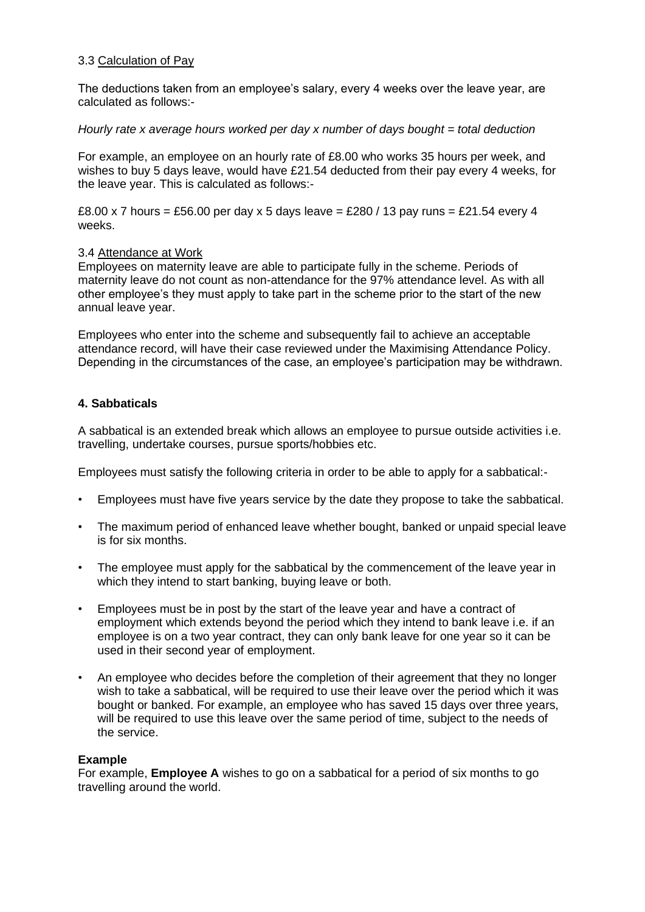# 3.3 Calculation of Pay

The deductions taken from an employee's salary, every 4 weeks over the leave year, are calculated as follows:-

### *Hourly rate x average hours worked per day x number of days bought = total deduction*

For example, an employee on an hourly rate of £8.00 who works 35 hours per week, and wishes to buy 5 days leave, would have £21.54 deducted from their pay every 4 weeks, for the leave year. This is calculated as follows:-

£8.00 x 7 hours = £56.00 per day x 5 days leave = £280 / 13 pay runs = £21.54 every 4 weeks.

# 3.4 Attendance at Work

Employees on maternity leave are able to participate fully in the scheme. Periods of maternity leave do not count as non-attendance for the 97% attendance level. As with all other employee's they must apply to take part in the scheme prior to the start of the new annual leave year.

Employees who enter into the scheme and subsequently fail to achieve an acceptable attendance record, will have their case reviewed under the Maximising Attendance Policy. Depending in the circumstances of the case, an employee's participation may be withdrawn.

# **4. Sabbaticals**

A sabbatical is an extended break which allows an employee to pursue outside activities i.e. travelling, undertake courses, pursue sports/hobbies etc.

Employees must satisfy the following criteria in order to be able to apply for a sabbatical:-

- Employees must have five years service by the date they propose to take the sabbatical.
- The maximum period of enhanced leave whether bought, banked or unpaid special leave is for six months.
- The employee must apply for the sabbatical by the commencement of the leave year in which they intend to start banking, buying leave or both.
- Employees must be in post by the start of the leave year and have a contract of employment which extends beyond the period which they intend to bank leave i.e. if an employee is on a two year contract, they can only bank leave for one year so it can be used in their second year of employment.
- An employee who decides before the completion of their agreement that they no longer wish to take a sabbatical, will be required to use their leave over the period which it was bought or banked. For example, an employee who has saved 15 days over three years, will be required to use this leave over the same period of time, subject to the needs of the service.

### **Example**

For example, **Employee A** wishes to go on a sabbatical for a period of six months to go travelling around the world.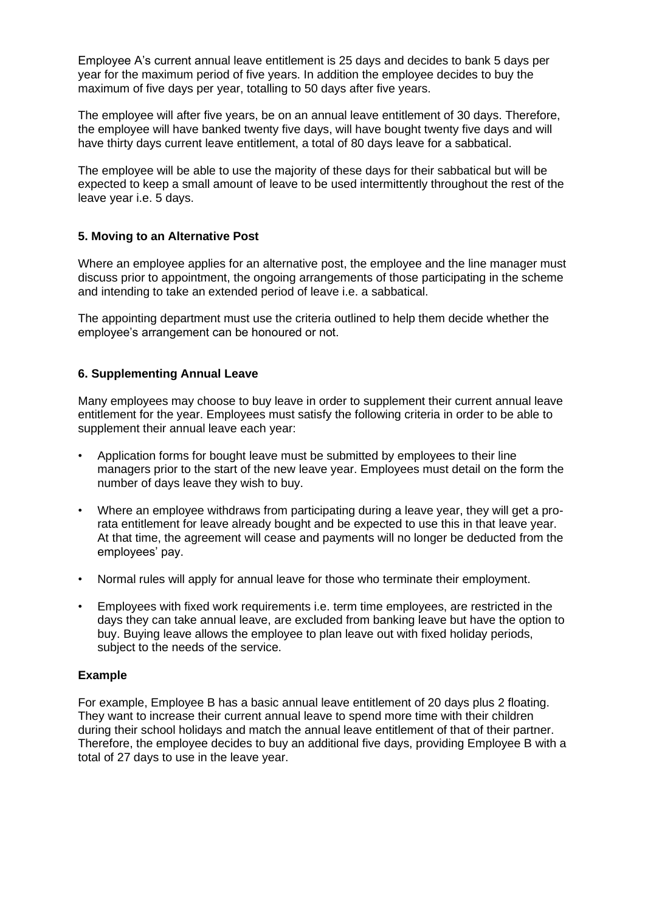Employee A's current annual leave entitlement is 25 days and decides to bank 5 days per year for the maximum period of five years. In addition the employee decides to buy the maximum of five days per year, totalling to 50 days after five years.

The employee will after five years, be on an annual leave entitlement of 30 days. Therefore, the employee will have banked twenty five days, will have bought twenty five days and will have thirty days current leave entitlement, a total of 80 days leave for a sabbatical.

The employee will be able to use the majority of these days for their sabbatical but will be expected to keep a small amount of leave to be used intermittently throughout the rest of the leave year i.e. 5 days.

# **5. Moving to an Alternative Post**

Where an employee applies for an alternative post, the employee and the line manager must discuss prior to appointment, the ongoing arrangements of those participating in the scheme and intending to take an extended period of leave i.e. a sabbatical.

The appointing department must use the criteria outlined to help them decide whether the employee's arrangement can be honoured or not.

# **6. Supplementing Annual Leave**

Many employees may choose to buy leave in order to supplement their current annual leave entitlement for the year. Employees must satisfy the following criteria in order to be able to supplement their annual leave each year:

- Application forms for bought leave must be submitted by employees to their line managers prior to the start of the new leave year. Employees must detail on the form the number of days leave they wish to buy.
- Where an employee withdraws from participating during a leave year, they will get a prorata entitlement for leave already bought and be expected to use this in that leave year. At that time, the agreement will cease and payments will no longer be deducted from the employees' pay.
- Normal rules will apply for annual leave for those who terminate their employment.
- Employees with fixed work requirements i.e. term time employees, are restricted in the days they can take annual leave, are excluded from banking leave but have the option to buy. Buying leave allows the employee to plan leave out with fixed holiday periods, subject to the needs of the service.

# **Example**

For example, Employee B has a basic annual leave entitlement of 20 days plus 2 floating. They want to increase their current annual leave to spend more time with their children during their school holidays and match the annual leave entitlement of that of their partner. Therefore, the employee decides to buy an additional five days, providing Employee B with a total of 27 days to use in the leave year.